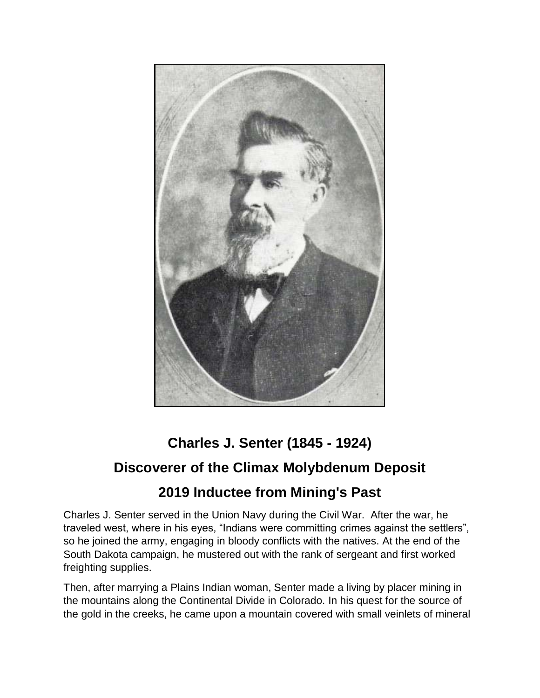

## **Charles J. Senter (1845 - 1924) Discoverer of the Climax Molybdenum Deposit 2019 Inductee from Mining's Past**

Charles J. Senter served in the Union Navy during the Civil War. After the war, he traveled west, where in his eyes, "Indians were committing crimes against the settlers", so he joined the army, engaging in bloody conflicts with the natives. At the end of the South Dakota campaign, he mustered out with the rank of sergeant and first worked freighting supplies.

Then, after marrying a Plains Indian woman, Senter made a living by placer mining in the mountains along the Continental Divide in Colorado. In his quest for the source of the gold in the creeks, he came upon a mountain covered with small veinlets of mineral